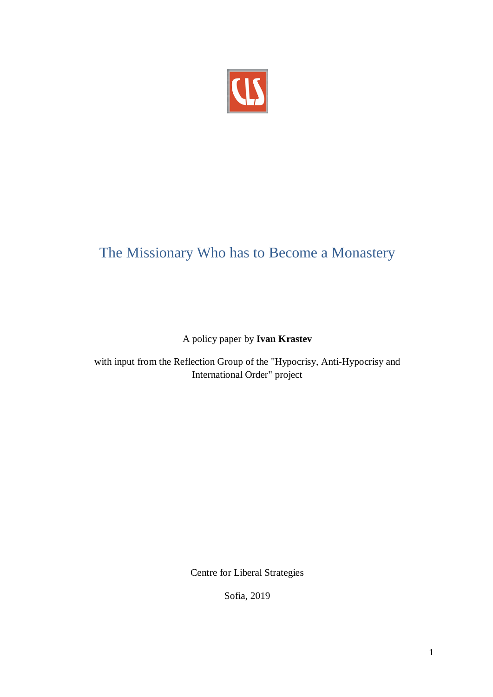

# The Missionary Who has to Become a Monastery

A policy paper by **Ivan Krastev**

with input from the Reflection Group of the "Hypocrisy, Anti-Hypocrisy and International Order" project

Centre for Liberal Strategies

Sofia, 2019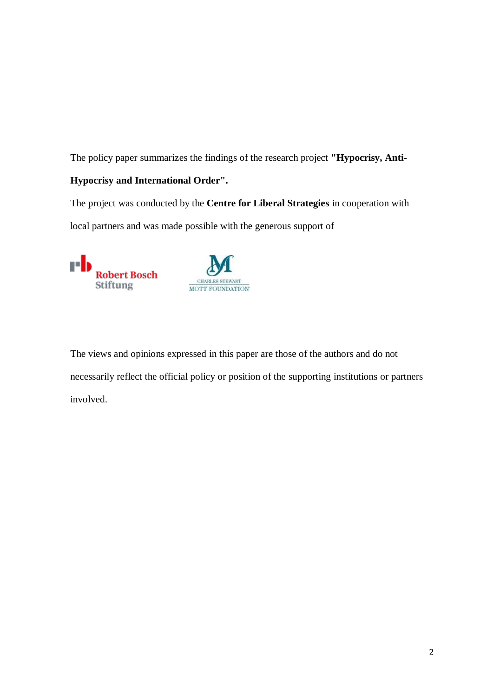The policy paper summarizes the findings of the research project **"Hypocrisy, Anti-**

## **Hypocrisy and International Order".**

The project was conducted by the **Centre for Liberal Strategies** in cooperation with local partners and was made possible with the generous support of





The views and opinions expressed in this paper are those of the authors and do not necessarily reflect the official policy or position of the supporting institutions or partners involved.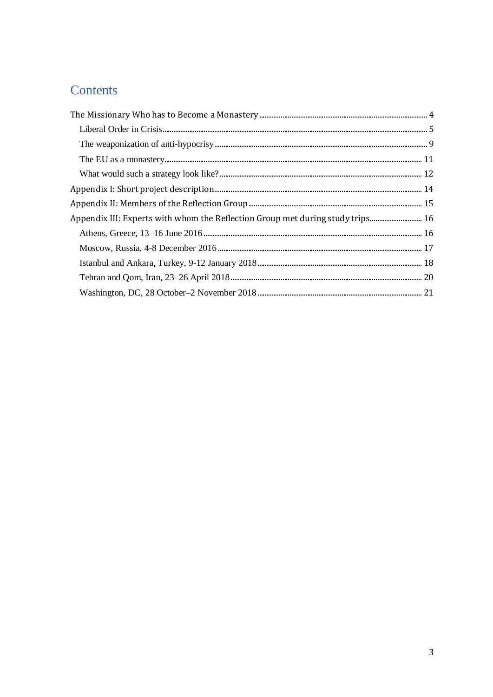# Contents

| Appendix III: Experts with whom the Reflection Group met during study trips 16 |  |
|--------------------------------------------------------------------------------|--|
|                                                                                |  |
|                                                                                |  |
|                                                                                |  |
|                                                                                |  |
|                                                                                |  |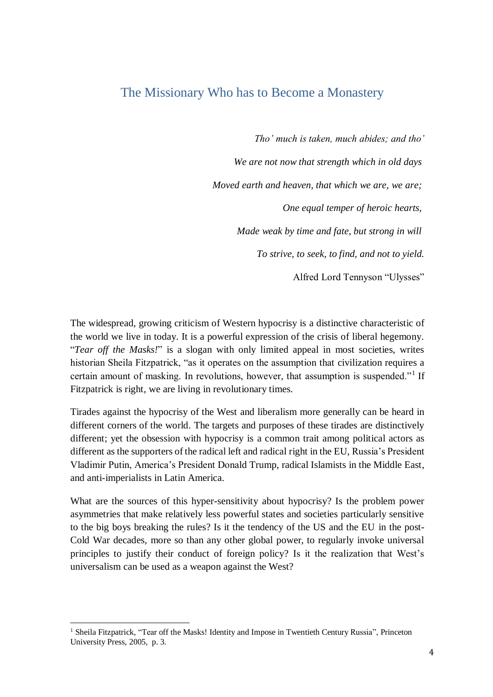# <span id="page-3-0"></span>The Missionary Who has to Become a Monastery

*Tho' much is taken, much abides; and tho' We are not now that strength which in old days Moved earth and heaven, that which we are, we are; One equal temper of heroic hearts, Made weak by time and fate, but strong in will To strive, to seek, to find, and not to yield.* Alfred Lord Tennyson "Ulysses"

The widespread, growing criticism of Western hypocrisy is a distinctive characteristic of the world we live in today. It is a powerful expression of the crisis of liberal hegemony. "*Tear off the Masks!*" is a slogan with only limited appeal in most societies, writes historian Sheila Fitzpatrick, "as it operates on the assumption that civilization requires a certain amount of masking. In revolutions, however, that assumption is suspended."<sup>1</sup> If Fitzpatrick is right, we are living in revolutionary times.

Tirades against the hypocrisy of the West and liberalism more generally can be heard in different corners of the world. The targets and purposes of these tirades are distinctively different; yet the obsession with hypocrisy is a common trait among political actors as different as the supporters of the radical left and radical right in the EU, Russia's President Vladimir Putin, America's President Donald Trump, radical Islamists in the Middle East, and anti-imperialists in Latin America.

What are the sources of this hyper-sensitivity about hypocrisy? Is the problem power asymmetries that make relatively less powerful states and societies particularly sensitive to the big boys breaking the rules? Is it the tendency of the US and the EU in the post-Cold War decades, more so than any other global power, to regularly invoke universal principles to justify their conduct of foreign policy? Is it the realization that West's universalism can be used as a weapon against the West?

 $\overline{a}$ 

<sup>&</sup>lt;sup>1</sup> Sheila Fitzpatrick, "Tear off the Masks! Identity and Impose in Twentieth Century Russia", Princeton University Press, 2005, p. 3.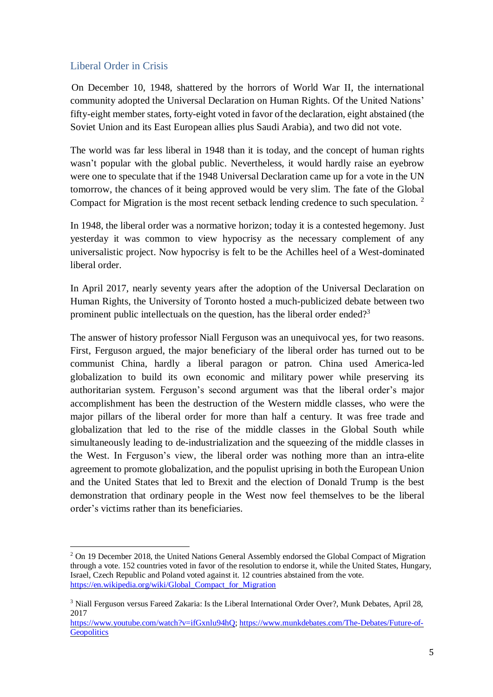## <span id="page-4-0"></span>Liberal Order in Crisis

 $\overline{a}$ 

On December 10, 1948, shattered by the horrors of World War II, the international community adopted the Universal Declaration on Human Rights. Of the United Nations' fifty-eight member states, forty-eight voted in favor of the declaration, eight abstained (the Soviet Union and its East European allies plus Saudi Arabia), and two did not vote.

The world was far less liberal in 1948 than it is today, and the concept of human rights wasn't popular with the global public. Nevertheless, it would hardly raise an eyebrow were one to speculate that if the 1948 Universal Declaration came up for a vote in the UN tomorrow, the chances of it being approved would be very slim. The fate of the Global Compact for Migration is the most recent setback lending credence to such speculation.<sup>2</sup>

In 1948, the liberal order was a normative horizon; today it is a contested hegemony. Just yesterday it was common to view hypocrisy as the necessary complement of any universalistic project. Now hypocrisy is felt to be the Achilles heel of a West-dominated liberal order.

In April 2017, nearly seventy years after the adoption of the Universal Declaration on Human Rights, the University of Toronto hosted a much-publicized debate between two prominent public intellectuals on the question, has the liberal order ended?<sup>3</sup>

The answer of history professor Niall Ferguson was an unequivocal yes, for two reasons. First, Ferguson argued, the major beneficiary of the liberal order has turned out to be communist China, hardly a liberal paragon or patron. China used America-led globalization to build its own economic and military power while preserving its authoritarian system. Ferguson's second argument was that the liberal order's major accomplishment has been the destruction of the Western middle classes, who were the major pillars of the liberal order for more than half a century. It was free trade and globalization that led to the rise of the middle classes in the Global South while simultaneously leading to de-industrialization and the squeezing of the middle classes in the West. In Ferguson's view, the liberal order was nothing more than an intra-elite agreement to promote globalization, and the populist uprising in both the European Union and the United States that led to Brexit and the election of Donald Trump is the best demonstration that ordinary people in the West now feel themselves to be the liberal order's victims rather than its beneficiaries.

<sup>&</sup>lt;sup>2</sup> On 19 December 2018, the United Nations General Assembly endorsed the Global Compact of Migration through a vote. 152 countries voted in favor of the resolution to endorse it, while the United States, Hungary, Israel, Czech Republic and Poland voted against it. 12 countries abstained from the vote. [https://en.wikipedia.org/wiki/Global\\_Compact\\_for\\_Migration](https://en.wikipedia.org/wiki/Global_Compact_for_Migration)

<sup>&</sup>lt;sup>3</sup> Niall Ferguson versus Fareed Zakaria: Is the Liberal International Order Over?, Munk Debates, April 28, 2017

[https://www.youtube.com/watch?v=ifGxnlu94hQ;](https://www.youtube.com/watch?v=ifGxnlu94hQ) [https://www.munkdebates.com/The-Debates/Future-of-](https://www.munkdebates.com/The-Debates/Future-of-Geopolitics)**[Geopolitics](https://www.munkdebates.com/The-Debates/Future-of-Geopolitics)**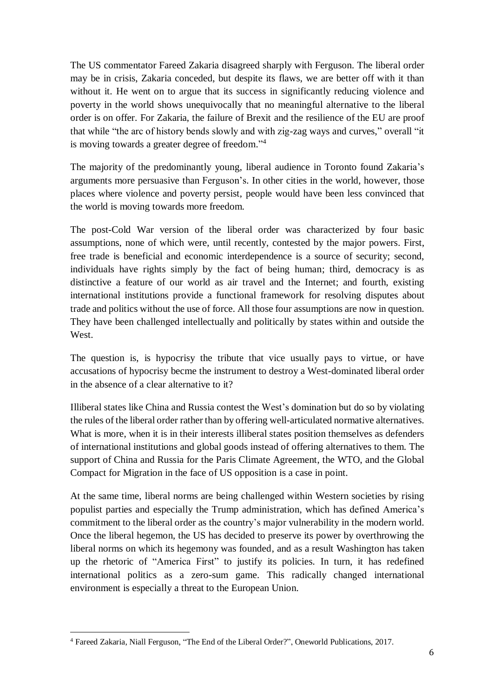The US commentator Fareed Zakaria disagreed sharply with Ferguson. The liberal order may be in crisis, Zakaria conceded, but despite its flaws, we are better off with it than without it. He went on to argue that its success in significantly reducing violence and poverty in the world shows unequivocally that no meaningful alternative to the liberal order is on offer. For Zakaria, the failure of Brexit and the resilience of the EU are proof that while "the arc of history bends slowly and with zig-zag ways and curves," overall "it is moving towards a greater degree of freedom."<sup>4</sup>

The majority of the predominantly young, liberal audience in Toronto found Zakaria's arguments more persuasive than Ferguson's. In other cities in the world, however, those places where violence and poverty persist, people would have been less convinced that the world is moving towards more freedom.

The post-Cold War version of the liberal order was characterized by four basic assumptions, none of which were, until recently, contested by the major powers. First, free trade is beneficial and economic interdependence is a source of security; second, individuals have rights simply by the fact of being human; third, democracy is as distinctive a feature of our world as air travel and the Internet; and fourth, existing international institutions provide a functional framework for resolving disputes about trade and politics without the use of force. All those four assumptions are now in question. They have been challenged intellectually and politically by states within and outside the West.

The question is, is hypocrisy the tribute that vice usually pays to virtue, or have accusations of hypocrisy becme the instrument to destroy a West-dominated liberal order in the absence of a clear alternative to it?

Illiberal states like China and Russia contest the West's domination but do so by violating the rules of the liberal order rather than by offering well-articulated normative alternatives. What is more, when it is in their interests illiberal states position themselves as defenders of international institutions and global goods instead of offering alternatives to them. The support of China and Russia for the Paris Climate Agreement, the WTO, and the Global Compact for Migration in the face of US opposition is a case in point.

At the same time, liberal norms are being challenged within Western societies by rising populist parties and especially the Trump administration, which has defined America's commitment to the liberal order as the country's major vulnerability in the modern world. Once the liberal hegemon, the US has decided to preserve its power by overthrowing the liberal norms on which its hegemony was founded, and as a result Washington has taken up the rhetoric of "America First" to justify its policies. In turn, it has redefined international politics as a zero-sum game. This radically changed international environment is especially a threat to the European Union.

 $\overline{a}$ <sup>4</sup> Fareed Zakaria, Niall Ferguson, "The End of the Liberal Order?", Oneworld Publications, 2017.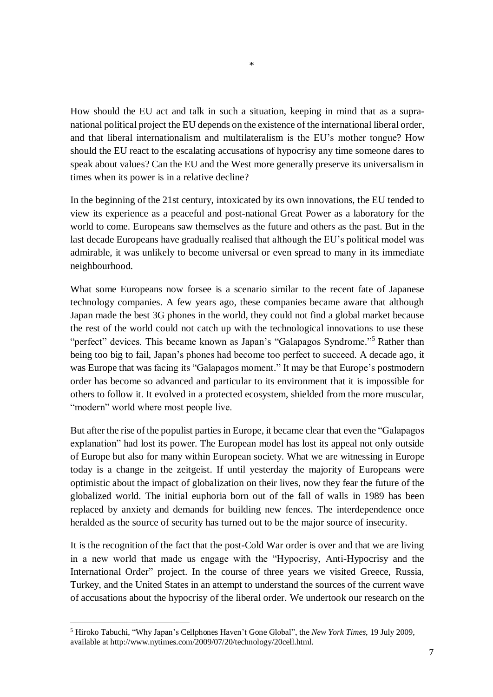How should the EU act and talk in such a situation, keeping in mind that as a supranational political project the EU depends on the existence of the international liberal order, and that liberal internationalism and multilateralism is the EU's mother tongue? How should the EU react to the escalating accusations of hypocrisy any time someone dares to speak about values? Can the EU and the West more generally preserve its universalism in times when its power is in a relative decline?

In the beginning of the 21st century, intoxicated by its own innovations, the EU tended to view its experience as a peaceful and post-national Great Power as a laboratory for the world to come. Europeans saw themselves as the future and others as the past. But in the last decade Europeans have gradually realised that although the EU's political model was admirable, it was unlikely to become universal or even spread to many in its immediate neighbourhood.

What some Europeans now forsee is a scenario similar to the recent fate of Japanese technology companies. A few years ago, these companies became aware that although Japan made the best 3G phones in the world, they could not find a global market because the rest of the world could not catch up with the technological innovations to use these "perfect" devices. This became known as Japan's "Galapagos Syndrome."<sup>5</sup> Rather than being too big to fail, Japan's phones had become too perfect to succeed. A decade ago, it was Europe that was facing its "Galapagos moment." It may be that Europe's postmodern order has become so advanced and particular to its environment that it is impossible for others to follow it. It evolved in a protected ecosystem, shielded from the more muscular, "modern" world where most people live.

But after the rise of the populist parties in Europe, it became clear that even the "Galapagos explanation" had lost its power. The European model has lost its appeal not only outside of Europe but also for many within European society. What we are witnessing in Europe today is a change in the zeitgeist. If until yesterday the majority of Europeans were optimistic about the impact of globalization on their lives, now they fear the future of the globalized world. The initial euphoria born out of the fall of walls in 1989 has been replaced by anxiety and demands for building new fences. The interdependence once heralded as the source of security has turned out to be the major source of insecurity.

It is the recognition of the fact that the post-Cold War order is over and that we are living in a new world that made us engage with the "Hypocrisy, Anti-Hypocrisy and the International Order" project. In the course of three years we visited Greece, Russia, Turkey, and the United States in an attempt to understand the sources of the current wave of accusations about the hypocrisy of the liberal order. We undertook our research on the

 $\overline{a}$ 

<sup>5</sup> Hiroko Tabuchi, "Why Japan's Cellphones Haven't Gone Global", the *New York Times*, 19 July 2009, available at http://www.nytimes.com/2009/07/20/technology/20cell.html.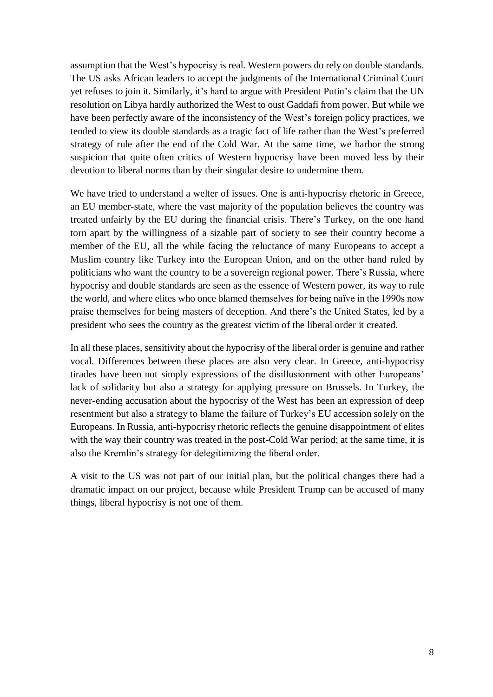assumption that the West's hypocrisy is real. Western powers do rely on double standards. The US asks African leaders to accept the judgments of the International Criminal Court yet refuses to join it. Similarly, it's hard to argue with President Putin's claim that the UN resolution on Libya hardly authorized the West to oust Gaddafi from power. But while we have been perfectly aware of the inconsistency of the West's foreign policy practices, we tended to view its double standards as a tragic fact of life rather than the West's preferred strategy of rule after the end of the Cold War. At the same time, we harbor the strong suspicion that quite often critics of Western hypocrisy have been moved less by their devotion to liberal norms than by their singular desire to undermine them.

We have tried to understand a welter of issues. One is anti-hypocrisy rhetoric in Greece, an EU member-state, where the vast majority of the population believes the country was treated unfairly by the EU during the financial crisis. There's Turkey, on the one hand torn apart by the willingness of a sizable part of society to see their country become a member of the EU, all the while facing the reluctance of many Europeans to accept a Muslim country like Turkey into the European Union, and on the other hand ruled by politicians who want the country to be a sovereign regional power. There's Russia, where hypocrisy and double standards are seen as the essence of Western power, its way to rule the world, and where elites who once blamed themselves for being naïve in the 1990s now praise themselves for being masters of deception. And there's the United States, led by a president who sees the country as the greatest victim of the liberal order it created.

In all these places, sensitivity about the hypocrisy of the liberal order is genuine and rather vocal. Differences between these places are also very clear. In Greece, anti-hypocrisy tirades have been not simply expressions of the disillusionment with other Europeans' lack of solidarity but also a strategy for applying pressure on Brussels. In Turkey, the never-ending accusation about the hypocrisy of the West has been an expression of deep resentment but also a strategy to blame the failure of Turkey's EU accession solely on the Europeans. In Russia, anti-hypocrisy rhetoric reflects the genuine disappointment of elites with the way their country was treated in the post-Cold War period; at the same time, it is also the Kremlin's strategy for delegitimizing the liberal order.

A visit to the US was not part of our initial plan, but the political changes there had a dramatic impact on our project, because while President Trump can be accused of many things, liberal hypocrisy is not one of them.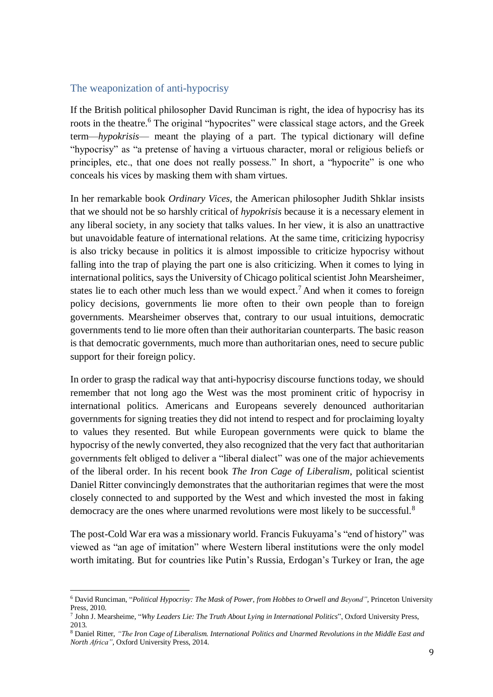#### <span id="page-8-0"></span>The weaponization of anti-hypocrisy

 $\overline{a}$ 

If the British political philosopher David Runciman is right, the idea of hypocrisy has its roots in the theatre.<sup>6</sup> The original "hypocrites" were classical stage actors, and the Greek term—*hypokrisis*— meant the playing of a part. The typical dictionary will define "hypocrisy" as "a pretense of having a virtuous character, moral or religious beliefs or principles, etc., that one does not really possess." In short, a "hypocrite" is one who conceals his vices by masking them with sham virtues.

In her remarkable book *Ordinary Vices*, the American philosopher Judith Shklar insists that we should not be so harshly critical of *hypokrisis* because it is a necessary element in any liberal society, in any society that talks values. In her view, it is also an unattractive but unavoidable feature of international relations. At the same time, criticizing hypocrisy is also tricky because in politics it is almost impossible to criticize hypocrisy without falling into the trap of playing the part one is also criticizing. When it comes to lying in international politics, says the University of Chicago political scientist John Mearsheimer, states lie to each other much less than we would expect.<sup>7</sup> And when it comes to foreign policy decisions, governments lie more often to their own people than to foreign governments. Mearsheimer observes that, contrary to our usual intuitions, democratic governments tend to lie more often than their authoritarian counterparts. The basic reason is that democratic governments, much more than authoritarian ones, need to secure public support for their foreign policy.

In order to grasp the radical way that anti-hypocrisy discourse functions today, we should remember that not long ago the West was the most prominent critic of hypocrisy in international politics. Americans and Europeans severely denounced authoritarian governments for signing treaties they did not intend to respect and for proclaiming loyalty to values they resented. But while European governments were quick to blame the hypocrisy of the newly converted, they also recognized that the very fact that authoritarian governments felt obliged to deliver a "liberal dialect" was one of the major achievements of the liberal order. In his recent book *The Iron Cage of Liberalism*, political scientist Daniel Ritter convincingly demonstrates that the authoritarian regimes that were the most closely connected to and supported by the West and which invested the most in faking democracy are the ones where unarmed revolutions were most likely to be successful.<sup>8</sup>

The post-Cold War era was a missionary world. Francis Fukuyama's "end of history" was viewed as "an age of imitation" where Western liberal institutions were the only model worth imitating. But for countries like Putin's Russia, Erdogan's Turkey or Iran, the age

<sup>6</sup> David Runciman, "*Political Hypocrisy: The Mask of Power, from Hobbes to Orwell and Beyond"*, Princeton University Press, 2010.

<sup>7</sup> John J. Mearsheime, "*Why Leaders Lie: The Truth About Lying in International Politics*", Oxford University Press, 2013.

<sup>8</sup> Daniel Ritter, *"The Iron Cage of Liberalism. International Politics and Unarmed Revolutions in the Middle East and North Africa"*, Oxford University Press, 2014.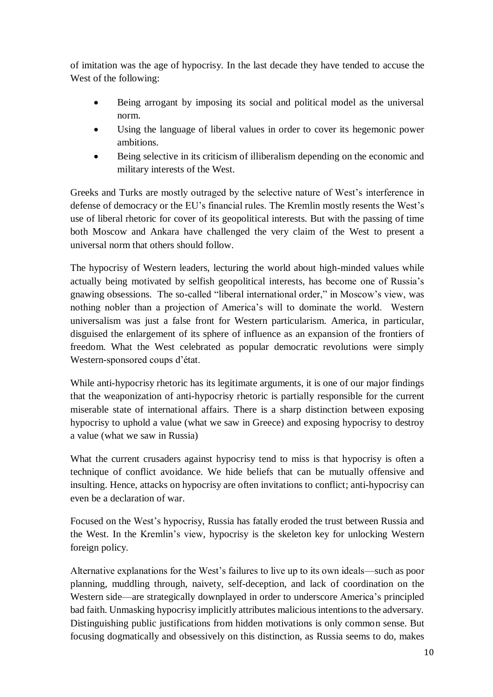of imitation was the age of hypocrisy. In the last decade they have tended to accuse the West of the following:

- Being arrogant by imposing its social and political model as the universal norm.
- Using the language of liberal values in order to cover its hegemonic power ambitions.
- Being selective in its criticism of illiberalism depending on the economic and military interests of the West.

Greeks and Turks are mostly outraged by the selective nature of West's interference in defense of democracy or the EU's financial rules. The Kremlin mostly resents the West's use of liberal rhetoric for cover of its geopolitical interests. But with the passing of time both Moscow and Ankara have challenged the very claim of the West to present a universal norm that others should follow.

The hypocrisy of Western leaders, lecturing the world about high-minded values while actually being motivated by selfish geopolitical interests, has become one of Russia's gnawing obsessions. The so-called "liberal international order," in Moscow's view, was nothing nobler than a projection of America's will to dominate the world. Western universalism was just a false front for Western particularism. America, in particular, disguised the enlargement of its sphere of influence as an expansion of the frontiers of freedom. What the West celebrated as popular democratic revolutions were simply Western-sponsored coups d'état.

While anti-hypocrisy rhetoric has its legitimate arguments, it is one of our major findings that the weaponization of anti-hypocrisy rhetoric is partially responsible for the current miserable state of international affairs. There is a sharp distinction between exposing hypocrisy to uphold a value (what we saw in Greece) and exposing hypocrisy to destroy a value (what we saw in Russia)

What the current crusaders against hypocrisy tend to miss is that hypocrisy is often a technique of conflict avoidance. We hide beliefs that can be mutually offensive and insulting. Hence, attacks on hypocrisy are often invitations to conflict; anti-hypocrisy can even be a declaration of war.

Focused on the West's hypocrisy, Russia has fatally eroded the trust between Russia and the West. In the Kremlin's view, hypocrisy is the skeleton key for unlocking Western foreign policy.

Alternative explanations for the West's failures to live up to its own ideals—such as poor planning, muddling through, naivety, self-deception, and lack of coordination on the Western side—are strategically downplayed in order to underscore America's principled bad faith. Unmasking hypocrisy implicitly attributes malicious intentions to the adversary. Distinguishing public justifications from hidden motivations is only common sense. But focusing dogmatically and obsessively on this distinction, as Russia seems to do, makes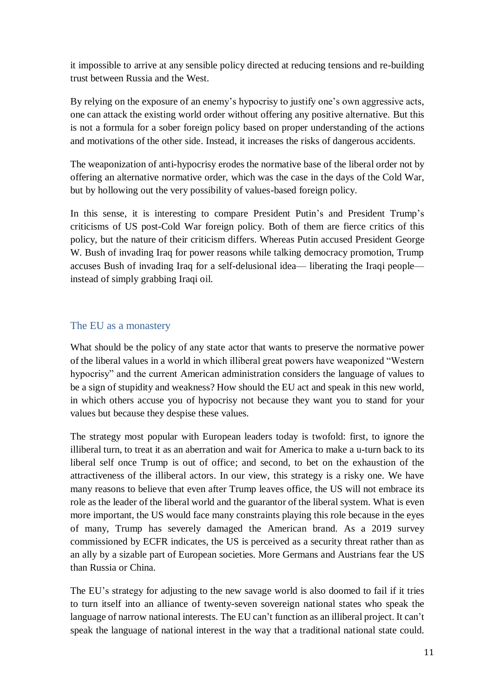it impossible to arrive at any sensible policy directed at reducing tensions and re-building trust between Russia and the West.

By relying on the exposure of an enemy's hypocrisy to justify one's own aggressive acts, one can attack the existing world order without offering any positive alternative. But this is not a formula for a sober foreign policy based on proper understanding of the actions and motivations of the other side. Instead, it increases the risks of dangerous accidents.

The weaponization of anti-hypocrisy erodes the normative base of the liberal order not by offering an alternative normative order, which was the case in the days of the Cold War, but by hollowing out the very possibility of values-based foreign policy.

In this sense, it is interesting to compare President Putin's and President Trump's criticisms of US post-Cold War foreign policy. Both of them are fierce critics of this policy, but the nature of their criticism differs. Whereas Putin accused President George W. Bush of invading Iraq for power reasons while talking democracy promotion, Trump accuses Bush of invading Iraq for a self-delusional idea— liberating the Iraqi people instead of simply grabbing Iraqi oil.

### <span id="page-10-0"></span>The EU as a monastery

What should be the policy of any state actor that wants to preserve the normative power of the liberal values in a world in which illiberal great powers have weaponized "Western hypocrisy" and the current American administration considers the language of values to be a sign of stupidity and weakness? How should the EU act and speak in this new world, in which others accuse you of hypocrisy not because they want you to stand for your values but because they despise these values.

The strategy most popular with European leaders today is twofold: first, to ignore the illiberal turn, to treat it as an aberration and wait for America to make a u-turn back to its liberal self once Trump is out of office; and second, to bet on the exhaustion of the attractiveness of the illiberal actors. In our view, this strategy is a risky one. We have many reasons to believe that even after Trump leaves office, the US will not embrace its role as the leader of the liberal world and the guarantor of the liberal system. What is even more important, the US would face many constraints playing this role because in the eyes of many, Trump has severely damaged the American brand. As a 2019 survey commissioned by ECFR indicates, the US is perceived as a security threat rather than as an ally by a sizable part of European societies. More Germans and Austrians fear the US than Russia or China.

The EU's strategy for adjusting to the new savage world is also doomed to fail if it tries to turn itself into an alliance of twenty-seven sovereign national states who speak the language of narrow national interests. The EU can't function as an illiberal project. It can't speak the language of national interest in the way that a traditional national state could.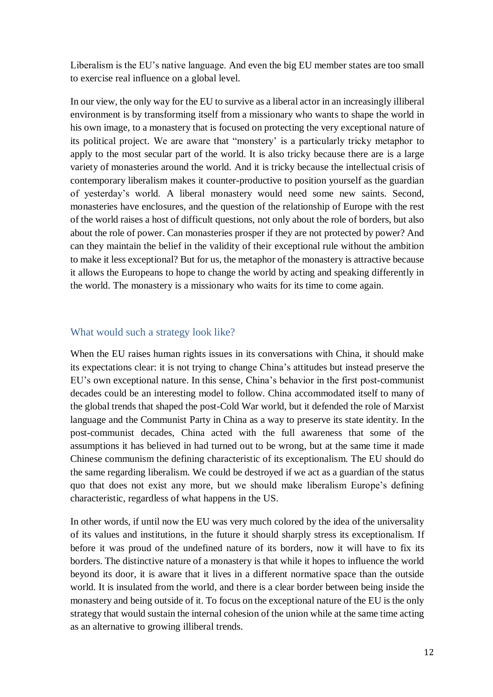Liberalism is the EU's native language. And even the big EU member states are too small to exercise real influence on a global level.

In our view, the only way for the EU to survive as a liberal actor in an increasingly illiberal environment is by transforming itself from a missionary who wants to shape the world in his own image, to a monastery that is focused on protecting the very exceptional nature of its political project. We are aware that "monstery' is a particularly tricky metaphor to apply to the most secular part of the world. It is also tricky because there are is a large variety of monasteries around the world. And it is tricky because the intellectual crisis of contemporary liberalism makes it counter-productive to position yourself as the guardian of yesterday's world. A liberal monastery would need some new saints. Second, monasteries have enclosures, and the question of the relationship of Europe with the rest of the world raises a host of difficult questions, not only about the role of borders, but also about the role of power. Can monasteries prosper if they are not protected by power? And can they maintain the belief in the validity of their exceptional rule without the ambition to make it less exceptional? But for us, the metaphor of the monastery is attractive because it allows the Europeans to hope to change the world by acting and speaking differently in the world. The monastery is a missionary who waits for its time to come again.

### <span id="page-11-0"></span>What would such a strategy look like?

When the EU raises human rights issues in its conversations with China, it should make its expectations clear: it is not trying to change China's attitudes but instead preserve the EU's own exceptional nature. In this sense, China's behavior in the first post-communist decades could be an interesting model to follow. China accommodated itself to many of the global trends that shaped the post-Cold War world, but it defended the role of Marxist language and the Communist Party in China as a way to preserve its state identity. In the post-communist decades, China acted with the full awareness that some of the assumptions it has believed in had turned out to be wrong, but at the same time it made Chinese communism the defining characteristic of its exceptionalism. The EU should do the same regarding liberalism. We could be destroyed if we act as a guardian of the status quo that does not exist any more, but we should make liberalism Europe's defining characteristic, regardless of what happens in the US.

In other words, if until now the EU was very much colored by the idea of the universality of its values and institutions, in the future it should sharply stress its exceptionalism. If before it was proud of the undefined nature of its borders, now it will have to fix its borders. The distinctive nature of a monastery is that while it hopes to influence the world beyond its door, it is aware that it lives in a different normative space than the outside world. It is insulated from the world, and there is a clear border between being inside the monastery and being outside of it. To focus on the exceptional nature of the EU is the only strategy that would sustain the internal cohesion of the union while at the same time acting as an alternative to growing illiberal trends.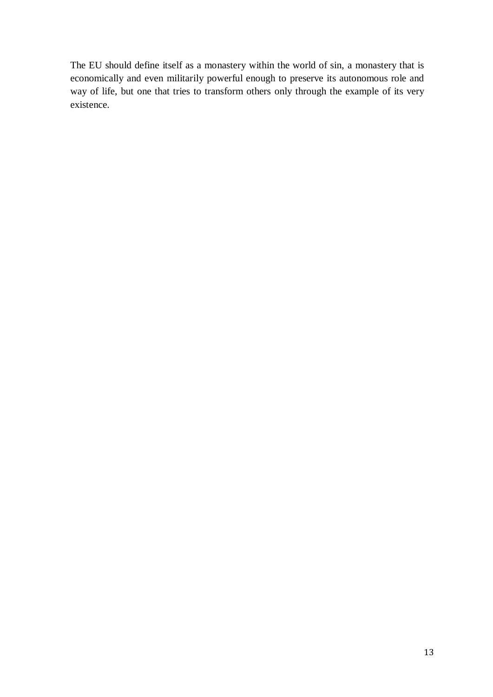The EU should define itself as a monastery within the world of sin, a monastery that is economically and even militarily powerful enough to preserve its autonomous role and way of life, but one that tries to transform others only through the example of its very existence.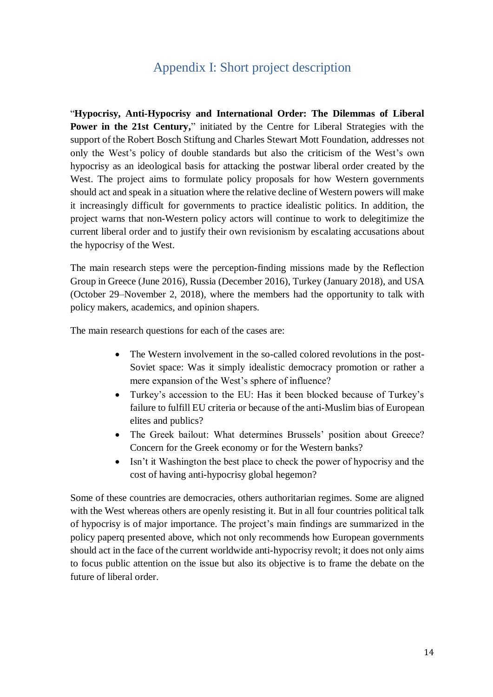# Appendix I: Short project description

<span id="page-13-0"></span>"**Hypocrisy, Anti-Hypocrisy and International Order: The Dilemmas of Liberal Power in the 21st Century,**" initiated by the Centre for Liberal Strategies with the support of the Robert Bosch Stiftung and Charles Stewart Mott Foundation, addresses not only the West's policy of double standards but also the criticism of the West's own hypocrisy as an ideological basis for attacking the postwar liberal order created by the West. The project aims to formulate policy proposals for how Western governments should act and speak in a situation where the relative decline of Western powers will make it increasingly difficult for governments to practice idealistic politics. In addition, the project warns that non-Western policy actors will continue to work to delegitimize the current liberal order and to justify their own revisionism by escalating accusations about the hypocrisy of the West.

The main research steps were the perception-finding missions made by the Reflection Group in Greece (June 2016), Russia (December 2016), Turkey (January 2018), and USA (October 29–November 2, 2018), where the members had the opportunity to talk with policy makers, academics, and opinion shapers.

The main research questions for each of the cases are:

- The Western involvement in the so-called colored revolutions in the post-Soviet space: Was it simply idealistic democracy promotion or rather a mere expansion of the West's sphere of influence?
- Turkey's accession to the EU: Has it been blocked because of Turkey's failure to fulfill EU criteria or because of the anti-Muslim bias of European elites and publics?
- The Greek bailout: What determines Brussels' position about Greece? Concern for the Greek economy or for the Western banks?
- Isn't it Washington the best place to check the power of hypocrisy and the cost of having anti-hypocrisy global hegemon?

Some of these countries are democracies, others authoritarian regimes. Some are aligned with the West whereas others are openly resisting it. But in all four countries political talk of hypocrisy is of major importance. The project's main findings are summarized in the policy paperq presented above, which not only recommends how European governments should act in the face of the current worldwide anti-hypocrisy revolt; it does not only aims to focus public attention on the issue but also its objective is to frame the debate on the future of liberal order.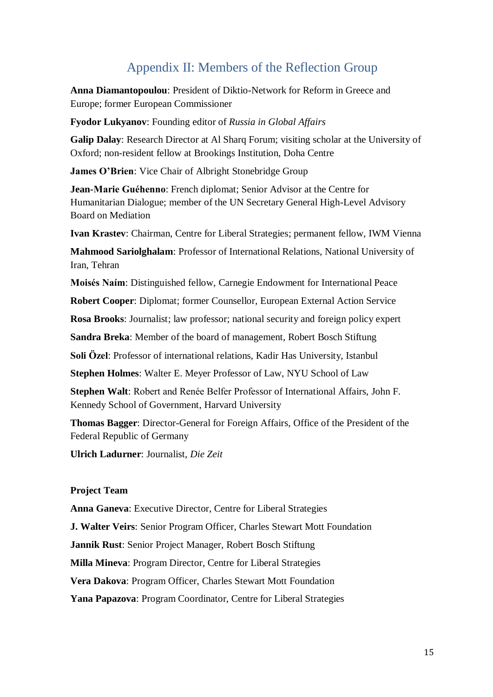# Appendix II: Members of the Reflection Group

<span id="page-14-0"></span>**Anna Diamantopoulou**: President of Diktio-Network for Reform in Greece and Europe; former European Commissioner

**Fyodor Lukyanov**: Founding editor of *Russia in Global Affairs*

**Galip Dalay**: Research Director at Al Sharq Forum; visiting scholar at the University of Oxford; non-resident fellow at Brookings Institution, Doha Centre

**James O'Brien**: Vice Chair of Albright Stonebridge Group

**Jean-Marie Guéhenno**: French diplomat; Senior Advisor at the Centre for Humanitarian Dialogue; member of the UN Secretary General High-Level Advisory Board on Mediation

**Ivan Krastev**: Chairman, Centre for Liberal Strategies; permanent fellow, IWM Vienna

**Mahmood Sariolghalam**: Professor of International Relations, National University of Iran, Tehran

**Moisés Naím**: Distinguished fellow, Carnegie Endowment for International Peace

**Robert Cooper**: Diplomat; former Counsellor, European External Action Service

**Rosa Brooks**: Journalist; law professor; national security and foreign policy expert

**Sandra Breka**: Member of the board of management, Robert Bosch Stiftung

**Soli Özel**: Professor of international relations, Kadir Has University, Istanbul

**Stephen Holmes**: Walter E. Meyer Professor of Law, NYU School of Law

**Stephen Walt**: Robert and Renée Belfer Professor of International Affairs, John F. Kennedy School of Government, Harvard University

**Thomas Bagger**: Director-General for Foreign Affairs, Office of the President of the Federal Republic of Germany

**Ulrich Ladurner**: Journalist, *Die Zeit*

#### **Project Team**

**Anna Ganeva**: Executive Director, Centre for Liberal Strategies

**J. Walter Veirs**: Senior Program Officer, Charles Stewart Mott Foundation

**Jannik Rust**: Senior Project Manager, Robert Bosch Stiftung

**Milla Mineva**: Program Director, Centre for Liberal Strategies

**Vera Dakova**: Program Officer, Charles Stewart Mott Foundation

**Yana Papazova**: Program Coordinator, Centre for Liberal Strategies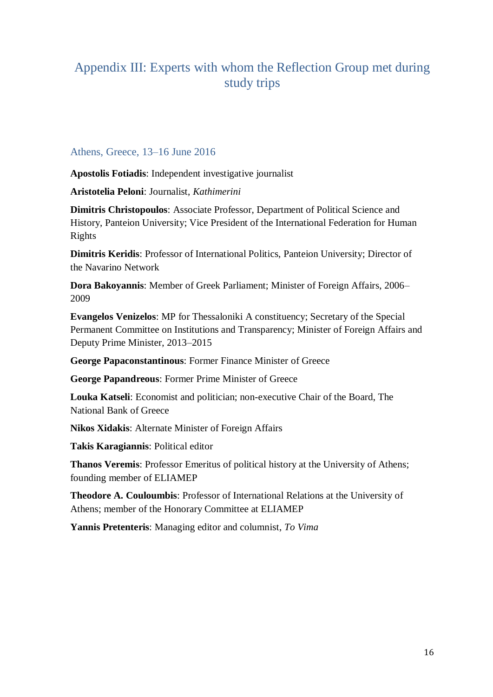# <span id="page-15-0"></span>Appendix III: Experts with whom the Reflection Group met during study trips

### <span id="page-15-1"></span>Athens, Greece, 13–16 June 2016

**Apostolis Fotiadis**: Independent investigative journalist

**Aristotelia Peloni**: Journalist, *Kathimerini*

**Dimitris Christopoulos**: Associate Professor, Department of Political Science and History, Panteion University; Vice President of the International Federation for Human Rights

**Dimitris Keridis**: Professor of International Politics, Panteion University; Director of the Navarino Network

**Dora Bakoyannis**: Member of Greek Parliament; Minister of Foreign Affairs, 2006– 2009

**Evangelos Venizelos**: MP for Thessaloniki A constituency; Secretary of the Special Permanent Committee on Institutions and Transparency; Minister of Foreign Affairs and Deputy Prime Minister, 2013–2015

**George Papaconstantinous**: Former Finance Minister of Greece

**George Papandreous**: Former Prime Minister of Greece

**Louka Katseli**: Economist and politician; non-executive Chair of the Board, The National Bank of Greece

**Nikos Xidakis**: Alternate Minister of Foreign Affairs

**Takis Karagiannis**: Political editor

**Thanos Veremis**: Professor Emeritus of political history at the University of Athens; founding member of ELIAMEP

**Theodore A. Couloumbis**: Professor of International Relations at the University of Athens; member of the Honorary Committee at ELIAMEP

**Yannis Pretenteris**: Managing editor and columnist, *To Vima*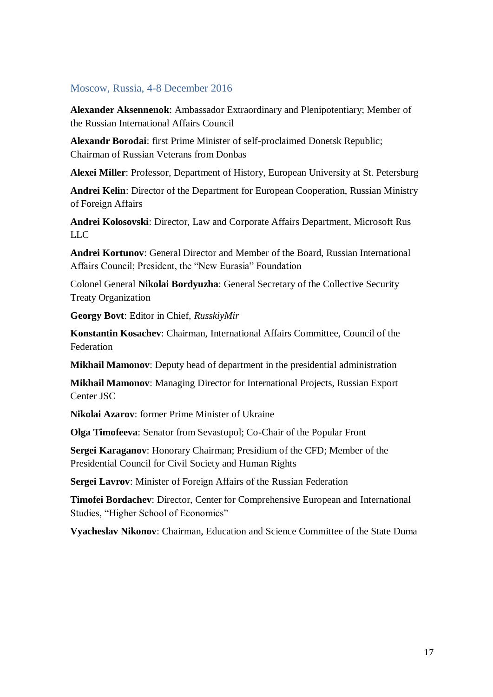### <span id="page-16-0"></span>Moscow, Russia, 4-8 December 2016

**Alexander Aksennenok**: Ambassador Extraordinary and Plenipotentiary; Member of the Russian International Affairs Council

**Alexandr Borodai**: first Prime Minister of self-proclaimed Donetsk Republic; Chairman of Russian Veterans from Donbas

**Alexei Miller**: Professor, Department of History, European University at St. Petersburg

**Andrei Kelin**: Director of the Department for European Cooperation, Russian Ministry of Foreign Affairs

**Andrei Kolosovski**: Director, Law and Corporate Affairs Department, Microsoft Rus LLC.

**Andrei Kortunov**: General Director and Member of the Board, Russian International Affairs Council; President, the "New Eurasia" Foundation

Colonel General **Nikolai Bordyuzha**: General Secretary of the Collective Security Treaty Organization

**Georgy Bovt**: Editor in Chief, *RusskiyMir*

**Konstantin Kosachev**: Chairman, International Affairs Committee, Council of the Federation

**Mikhail Mamonov**: Deputy head of department in the presidential administration

**Mikhail Mamonov**: Managing Director for International Projects, Russian Export Center JSC

**Nikolai Azarov**: former Prime Minister of Ukraine

**Olga Timofeeva**: Senator from Sevastopol; Co-Chair of the Popular Front

**Sergei Karaganov**: Honorary Chairman; Presidium of the CFD; Member of the Presidential Council for Civil Society and Human Rights

**Sergei Lavrov**: Minister of Foreign Affairs of the Russian Federation

**Timofei Bordachev**: Director, Center for Comprehensive European and International Studies, "Higher School of Economics"

**Vyacheslav Nikonov**: Chairman, Education and Science Committee of the State Duma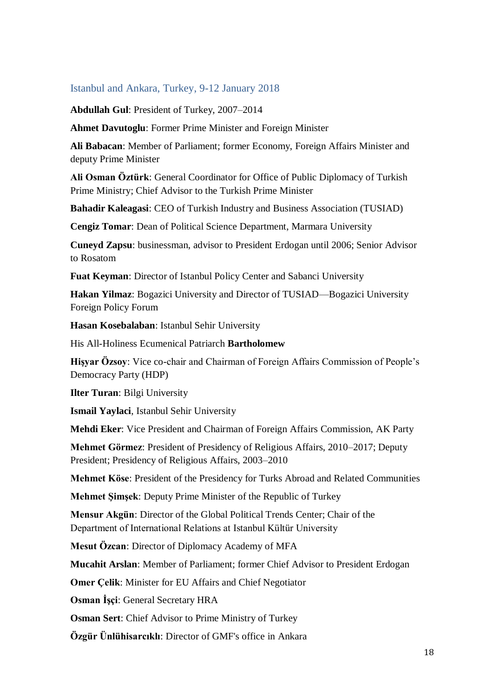### <span id="page-17-0"></span>Istanbul and Ankara, Turkey, 9-12 January 2018

**Abdullah Gul**: President of Turkey, 2007–2014

**Ahmet Davutoglu**: Former Prime Minister and Foreign Minister

**Ali Babacan**: Member of Parliament; former Economy, Foreign Affairs Minister and deputy Prime Minister

**Ali Osman Öztürk**: General Coordinator for Office of Public Diplomacy of Turkish Prime Ministry; Chief Advisor to the Turkish Prime Minister

**Bahadir Kaleagasi**: CEO of Turkish Industry and Business Association (TUSIAD)

**Cengiz Tomar**: Dean of Political Science Department, Marmara University

**Cuneyd Zapsu**: businessman, advisor to President Erdogan until 2006; Senior Advisor to Rosatom

**Fuat Keyman**: Director of Istanbul Policy Center and Sabanci University

**Hakan Yilmaz**: Bogazici University and Director of TUSIAD—Bogazici University Foreign Policy Forum

**Hasan Kosebalaban**: Istanbul Sehir University

His All-Holiness Ecumenical Patriarch **Bartholomew**

**Hişyar Özsoy**: Vice co-chair and Chairman of Foreign Affairs Commission of People's Democracy Party (HDP)

**Ilter Turan**: Bilgi University

**Ismail Yaylaci**, Istanbul Sehir University

**Mehdi Eker**: Vice President and Chairman of Foreign Affairs Commission, AK Party

**Mehmet Görmez**: President of Presidency of Religious Affairs, 2010–2017; Deputy President; Presidency of Religious Affairs, 2003–2010

**Mehmet Köse**: President of the Presidency for Turks Abroad and Related Communities

**Mehmet Şimşek**: Deputy Prime Minister of the Republic of Turkey

**Mensur Akgün**: Director of the Global Political Trends Center; Chair of the Department of International Relations at Istanbul Kültür University

**Mesut Özcan**: Director of Diplomacy Academy of MFA

**Mucahit Arslan**: Member of Parliament; former Chief Advisor to President Erdogan

**Omer Çelik**: Minister for EU Affairs and Chief Negotiator

**Osman İşçi**: General Secretary HRA

**Osman Sert**: Chief Advisor to Prime Ministry of Turkey

**Özgür Ünlühisarcıklı**: Director of GMF's office in Ankara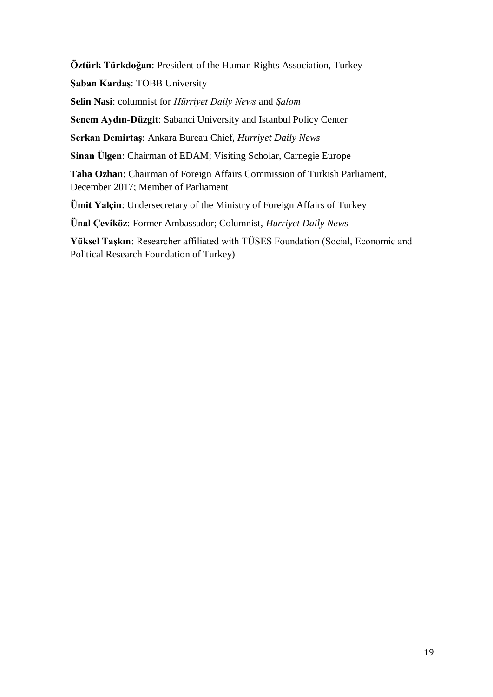**Öztürk Türkdoğan**: President of the Human Rights Association, Turkey **Şaban Kardaş**: TOBB University **Selin Nasi**: columnist for *Hürriyet Daily News* and *Şalom* **Senem Aydın-Düzgit**: Sabanci University and Istanbul Policy Center **Serkan Demirtaş**: Ankara Bureau Chief, *Hurriyet Daily News* **Sinan Ülgen**: Chairman of EDAM; Visiting Scholar, Carnegie Europe **Taha Ozhan**: Chairman of Foreign Affairs Commission of Turkish Parliament, December 2017; Member of Parliament **Ümit Yalçin**: Undersecretary of the Ministry of Foreign Affairs of Turkey **Ünal Çeviköz**: Former Ambassador; Columnist, *Hurriyet Daily News*

**Yüksel Taşkın**: Researcher affiliated with TÜSES Foundation (Social, Economic and Political Research Foundation of Turkey)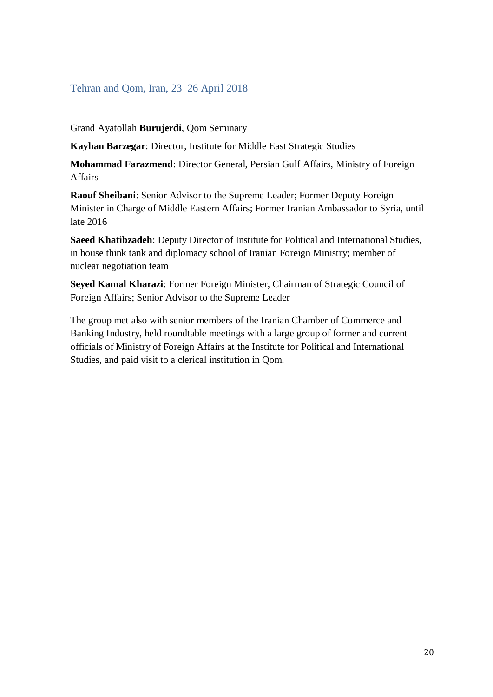### <span id="page-19-0"></span>Tehran and Qom, Iran, 23–26 April 2018

Grand Ayatollah **Burujerdi**, Qom Seminary

**Kayhan Barzegar**: Director, Institute for Middle East Strategic Studies

**Mohammad Farazmend**: Director General, Persian Gulf Affairs, Ministry of Foreign Affairs

**Raouf Sheibani**: Senior Advisor to the Supreme Leader; Former Deputy Foreign Minister in Charge of Middle Eastern Affairs; Former Iranian Ambassador to Syria, until late 2016

**Saeed Khatibzadeh**: Deputy Director of Institute for Political and International Studies, in house think tank and diplomacy school of Iranian Foreign Ministry; member of nuclear negotiation team

**Seyed Kamal Kharazi**: Former Foreign Minister, Chairman of Strategic Council of Foreign Affairs; Senior Advisor to the Supreme Leader

The group met also with senior members of the Iranian Chamber of Commerce and Banking Industry, held roundtable meetings with a large group of former and current officials of Ministry of Foreign Affairs at the Institute for Political and International Studies, and paid visit to a clerical institution in Qom.